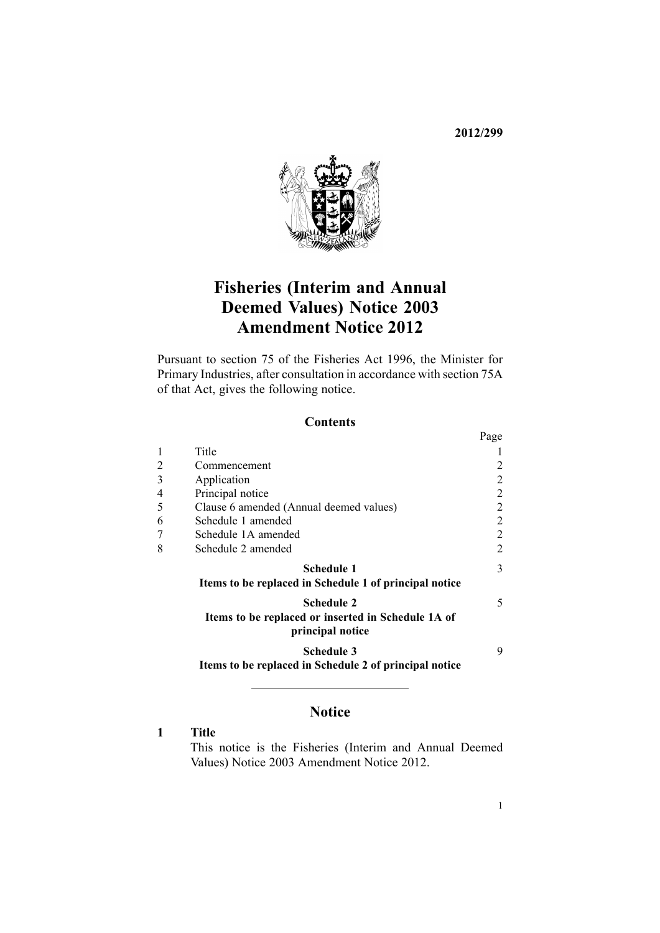**2012/299**



# **Fisheries (Interim and Annual Deemed Values) Notice 2003 Amendment Notice 2012**

Pursuant to [section](http://www.legislation.govt.nz/pdflink.aspx?id=DLM396539) 75 of the Fisheries Act 1996, the Minister for Primary Industries, after consultation in accordance with [section](http://www.legislation.govt.nz/pdflink.aspx?id=DLM396542) 75A of that Act, gives the following notice.

### **Contents**

|   |                                                                        | Page           |
|---|------------------------------------------------------------------------|----------------|
|   | Title                                                                  |                |
| 2 | Commencement                                                           | 2              |
| 3 | Application                                                            | 2              |
| 4 | Principal notice                                                       | $\overline{2}$ |
| 5 | Clause 6 amended (Annual deemed values)                                | $\overline{2}$ |
| 6 | Schedule 1 amended                                                     | $\overline{2}$ |
|   | Schedule 1A amended                                                    | $\overline{2}$ |
| 8 | Schedule 2 amended                                                     | $\overline{2}$ |
|   | Schedule 1                                                             | 3              |
|   | Items to be replaced in Schedule 1 of principal notice                 |                |
|   | <b>Schedule 2</b>                                                      | 5              |
|   | Items to be replaced or inserted in Schedule 1A of<br>principal notice |                |
|   | <b>Schedule 3</b>                                                      | 9              |
|   | Items to be replaced in Schedule 2 of principal notice                 |                |

### **Notice**

### **1 Title**

This notice is the Fisheries (Interim and Annual Deemed Values) Notice 2003 Amendment Notice 2012.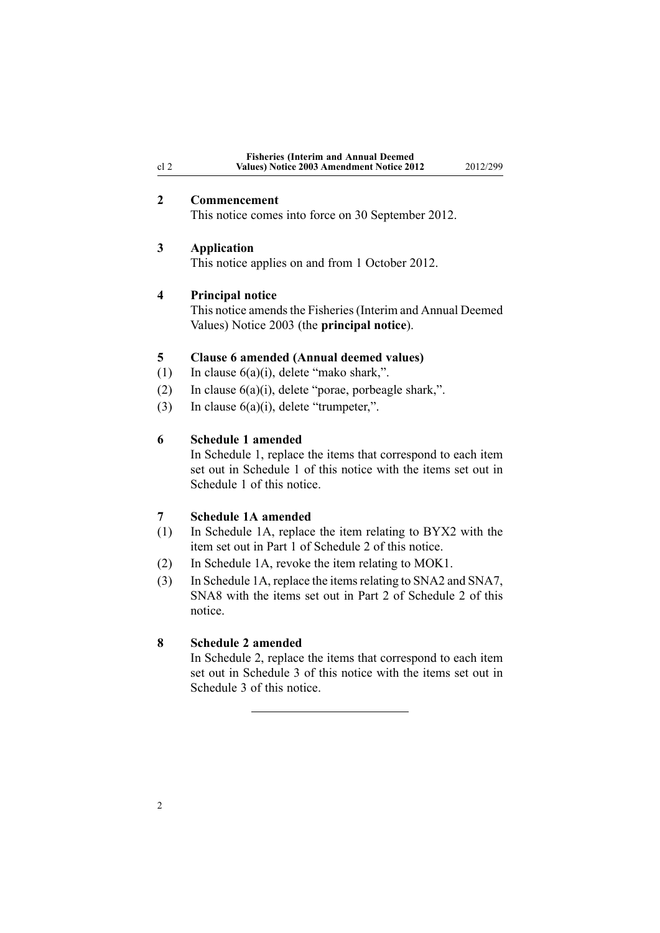<span id="page-1-0"></span>

|      | <b>Fisheries (Interim and Annual Deemed)</b> |          |
|------|----------------------------------------------|----------|
| cl 2 | Values) Notice 2003 Amendment Notice 2012    | 2012/299 |

### **2 Commencement**

This notice comes into force on 30 September 2012.

### **3 Application**

This notice applies on and from 1 October 2012.

#### **4 Principal notice**

This notice amends the Fisheries (Interim and Annual Deemed [Values\)](http://www.legislation.govt.nz/pdflink.aspx?id=DLM214397) Notice 2003 (the **principal notice**).

### **5 Clause 6 amended (Annual deemed values)**

- (1) In clause  $6(a)(i)$ , delete "mako shark,".
- (2) In clause  $6(a)(i)$ , delete "porae, porbeagle shark,".
- (3) In clause  $6(a)(i)$ , delete "trumpeter,".

#### **6 Schedule 1 amended**

In [Schedule](http://www.legislation.govt.nz/pdflink.aspx?id=DLM215032) 1, replace the items that correspond to each item set out in Schedule 1 of this notice with the items set out in Schedule 1 of this notice.

### **7 Schedule 1A amended**

- (1) In [Schedule](http://www.legislation.govt.nz/pdflink.aspx?id=DLM1041402) 1A, replace the item relating to BYX2 with the item set out in [Part](#page-4-0) 1 of Schedule 2 of this notice.
- (2) In [Schedule](http://www.legislation.govt.nz/pdflink.aspx?id=DLM1041402) 1A, revoke the item relating to MOK1.
- (3) In [Schedule](http://www.legislation.govt.nz/pdflink.aspx?id=DLM1041402) 1A, replace the itemsrelating to SNA2 and SNA7, SNA8 with the items set out in [Part](#page-4-0) 2 of Schedule 2 of this notice.

### **8 Schedule 2 amended**

In [Schedule](http://www.legislation.govt.nz/pdflink.aspx?id=DLM215048) 2, replace the items that correspond to each item set out in [Schedule](#page-8-0) 3 of this notice with the items set out in Schedule 3 of this notice.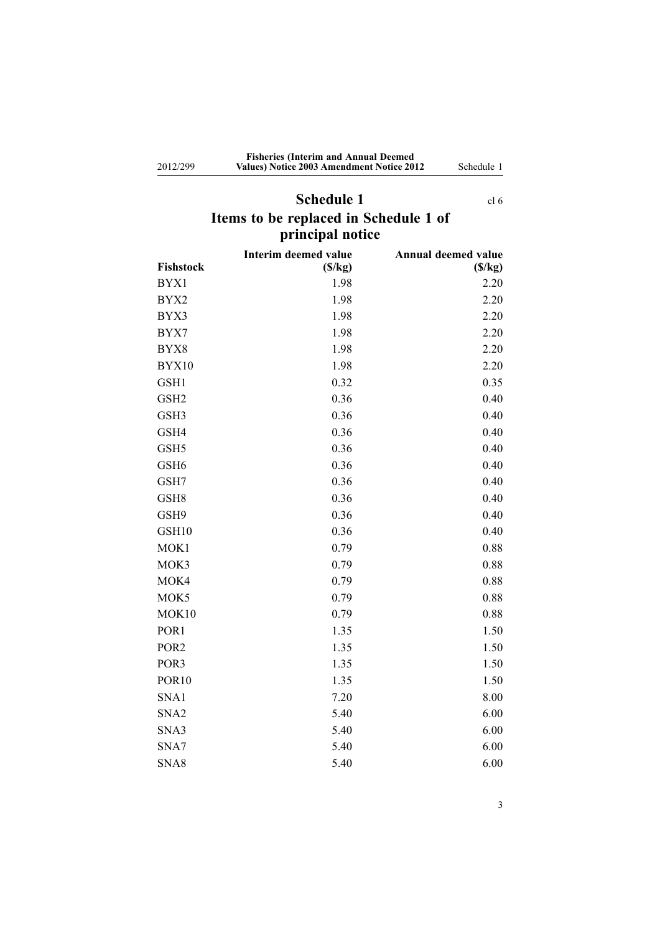<span id="page-2-0"></span>2012/299

#### **Fisheries (Interim and Annual Deemed Values) Notice 2003 Amendment Notice 2012** Schedule 1

# **Schedule 1** [cl](#page-1-0) 6 **Items to be replaced in Schedule 1 of principal notice**

|                   | <b>Interim deemed value</b> | Annual deemed value |
|-------------------|-----------------------------|---------------------|
| Fishstock         | (S/kg)                      | (S/kg)              |
| BYX1              | 1.98                        | 2.20                |
| BYX2              | 1.98                        | 2.20                |
| BYX3              | 1.98                        | 2.20                |
| BYX7              | 1.98                        | 2.20                |
| BYX8              | 1.98                        | 2.20                |
| BYX10             | 1.98                        | 2.20                |
| GSH1              | 0.32                        | 0.35                |
| GSH <sub>2</sub>  | 0.36                        | 0.40                |
| GSH3              | 0.36                        | 0.40                |
| GSH4              | 0.36                        | 0.40                |
| GSH <sub>5</sub>  | 0.36                        | 0.40                |
| GSH <sub>6</sub>  | 0.36                        | 0.40                |
| GSH7              | 0.36                        | 0.40                |
| GSH <sub>8</sub>  | 0.36                        | 0.40                |
| GSH9              | 0.36                        | 0.40                |
| GSH10             | 0.36                        | 0.40                |
| MOK1              | 0.79                        | 0.88                |
| MOK3              | 0.79                        | 0.88                |
| MOK4              | 0.79                        | 0.88                |
| MOK5              | 0.79                        | 0.88                |
| MOK10             | 0.79                        | 0.88                |
| POR1              | 1.35                        | 1.50                |
| POR <sub>2</sub>  | 1.35                        | 1.50                |
| POR <sub>3</sub>  | 1.35                        | 1.50                |
| POR <sub>10</sub> | 1.35                        | 1.50                |
| SNA1              | 7.20                        | 8.00                |
| SNA <sub>2</sub>  | 5.40                        | 6.00                |
| SNA3              | 5.40                        | 6.00                |
| SNA7              | 5.40                        | 6.00                |
| SNA8              | 5.40                        | 6.00                |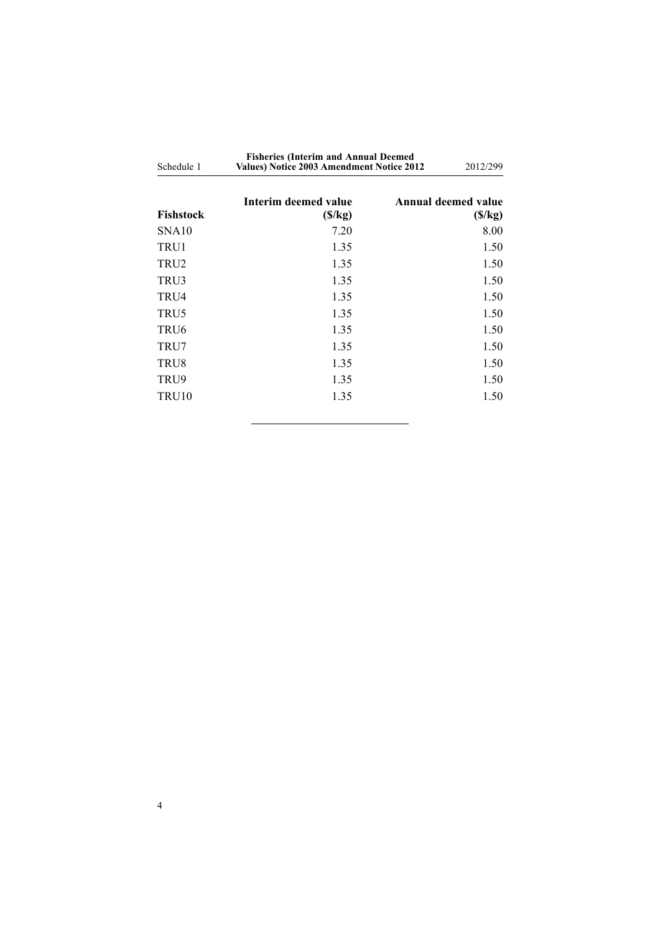| Schedule 1        | <b>Fisheries (Interim and Annual Deemed</b><br>Values) Notice 2003 Amendment Notice 2012 |  | 2012/299                      |  |
|-------------------|------------------------------------------------------------------------------------------|--|-------------------------------|--|
| Fishstock         | Interim deemed value<br>(S/kg)                                                           |  | Annual deemed value<br>(S/kg) |  |
| SNA <sub>10</sub> | 7.20                                                                                     |  | 8.00                          |  |
| TRU1              | 1.35                                                                                     |  | 1.50                          |  |
| TRU2              | 1.35                                                                                     |  | 1.50                          |  |
| TRU3              | 1.35                                                                                     |  | 1.50                          |  |
| TRU4              | 1.35                                                                                     |  | 1.50                          |  |
| TRU5              | 1.35                                                                                     |  | 1.50                          |  |
| TRU6              | 1.35                                                                                     |  | 1.50                          |  |
| TRU7              | 1.35                                                                                     |  | 1.50                          |  |
| TRU8              | 1.35                                                                                     |  | 1.50                          |  |
| TRU9              | 1.35                                                                                     |  | 1.50                          |  |
| TRU <sub>10</sub> | 1.35                                                                                     |  | 1.50                          |  |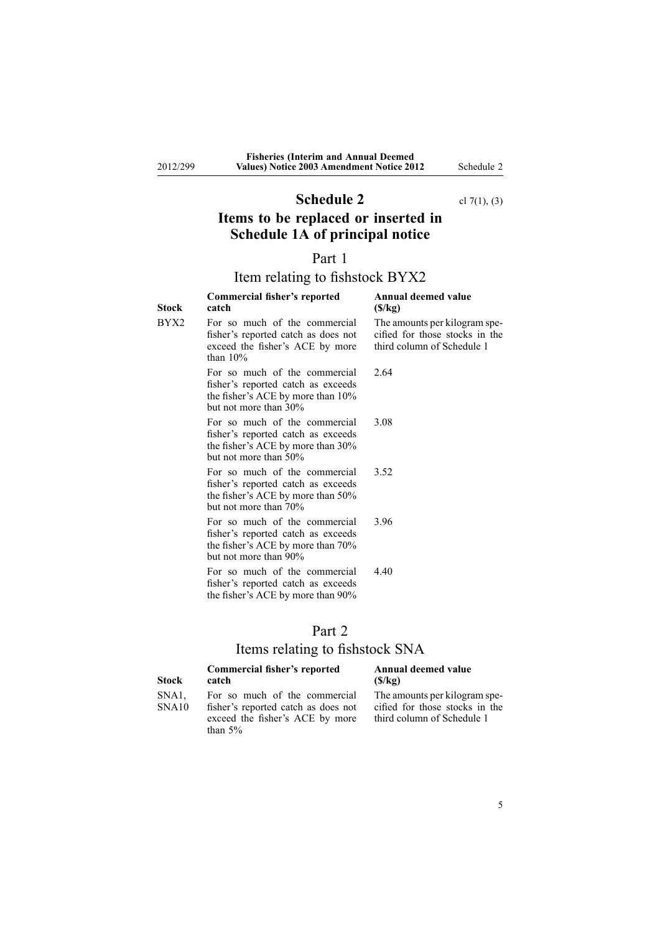# **Schedule 2** cl [7\(1\)](#page-1-0), (3)

# <span id="page-4-0"></span>**Items to be replaced or inserted in Schedule 1A of principal notice**

### Part 1

# Item relating to fishstock BYX2

| Stock | Commercial fisher's reported<br>catch                                                                                             | Annual deemed value<br>(S/kg)                                                                 |
|-------|-----------------------------------------------------------------------------------------------------------------------------------|-----------------------------------------------------------------------------------------------|
| BYX2  | For so much of the commercial<br>fisher's reported catch as does not<br>exceed the fisher's ACE by more<br>than $10\%$            | The amounts per kilogram spe-<br>cified for those stocks in the<br>third column of Schedule 1 |
|       | For so much of the commercial<br>fisher's reported catch as exceeds<br>the fisher's ACE by more than 10%<br>but not more than 30% | 2.64                                                                                          |
|       | For so much of the commercial<br>fisher's reported catch as exceeds<br>the fisher's ACE by more than 30%<br>but not more than 50% | 3.08                                                                                          |
|       | For so much of the commercial<br>fisher's reported catch as exceeds<br>the fisher's ACE by more than 50%<br>but not more than 70% | 3.52                                                                                          |
|       | For so much of the commercial<br>fisher's reported catch as exceeds<br>the fisher's ACE by more than 70%<br>but not more than 90% | 396                                                                                           |
|       | For so much of the commercial<br>fisher's reported catch as exceeds<br>the fisher's ACE by more than 90%                          | 4.40                                                                                          |

| н | п |  |
|---|---|--|

## Items relating to fishstock SNA

| Stock          | Commercial fisher's reported<br>catch                                                                                 | Annual deemed value<br>(S/kg)                                                                 |
|----------------|-----------------------------------------------------------------------------------------------------------------------|-----------------------------------------------------------------------------------------------|
| SNA1.<br>SNA10 | For so much of the commercial<br>fisher's reported catch as does not<br>exceed the fisher's ACE by more<br>than $5\%$ | The amounts per kilogram spe-<br>cified for those stocks in the<br>third column of Schedule 1 |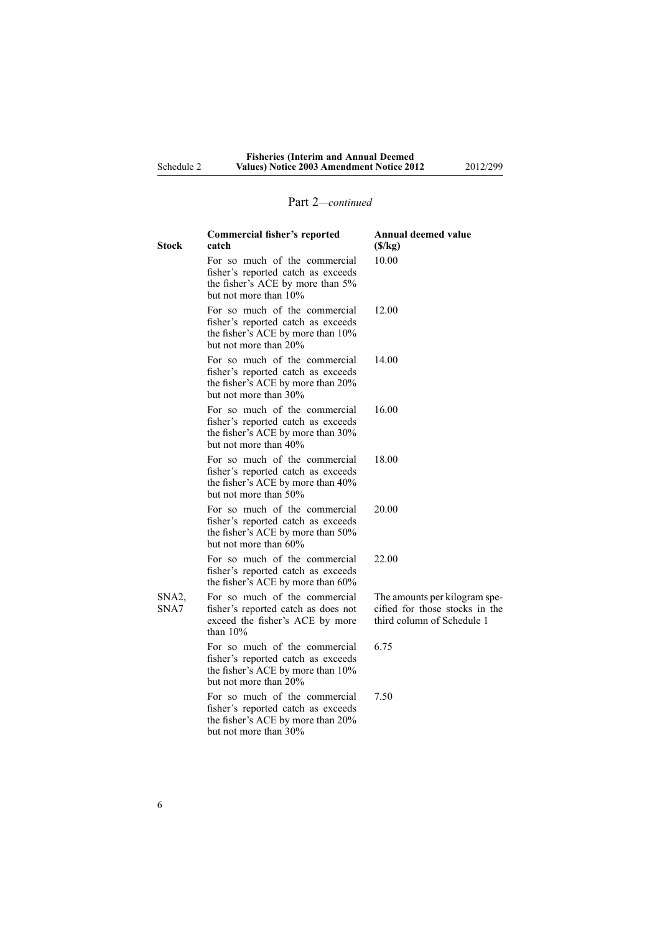# Part 2*—continued*

| <b>Commercial fisher's reported</b><br>catch                                                                                      | <b>Annual deemed value</b><br>(S/kg)                                                          |
|-----------------------------------------------------------------------------------------------------------------------------------|-----------------------------------------------------------------------------------------------|
| For so much of the commercial<br>fisher's reported catch as exceeds<br>the fisher's ACE by more than 5%<br>but not more than 10%  | 10.00                                                                                         |
| For so much of the commercial<br>fisher's reported catch as exceeds<br>the fisher's ACE by more than 10%<br>but not more than 20% | 12.00                                                                                         |
| For so much of the commercial<br>fisher's reported catch as exceeds<br>the fisher's ACE by more than 20%<br>but not more than 30% | 14.00                                                                                         |
| For so much of the commercial<br>fisher's reported catch as exceeds<br>the fisher's ACE by more than 30%<br>but not more than 40% | 16.00                                                                                         |
| For so much of the commercial<br>fisher's reported catch as exceeds<br>the fisher's ACE by more than 40%<br>but not more than 50% | 18.00                                                                                         |
| For so much of the commercial<br>fisher's reported catch as exceeds<br>the fisher's ACE by more than 50%<br>but not more than 60% | 20.00                                                                                         |
| For so much of the commercial<br>fisher's reported catch as exceeds<br>the fisher's ACE by more than 60%                          | 22.00                                                                                         |
| For so much of the commercial<br>fisher's reported catch as does not<br>exceed the fisher's ACE by more<br>than $10%$             | The amounts per kilogram spe-<br>cified for those stocks in the<br>third column of Schedule 1 |
| For so much of the commercial<br>fisher's reported catch as exceeds<br>the fisher's ACE by more than 10%<br>but not more than 20% | 6.75                                                                                          |
| For so much of the commercial<br>fisher's reported catch as exceeds<br>the fisher's ACE by more than 20%<br>but not more than 30% | 7.50                                                                                          |
|                                                                                                                                   |                                                                                               |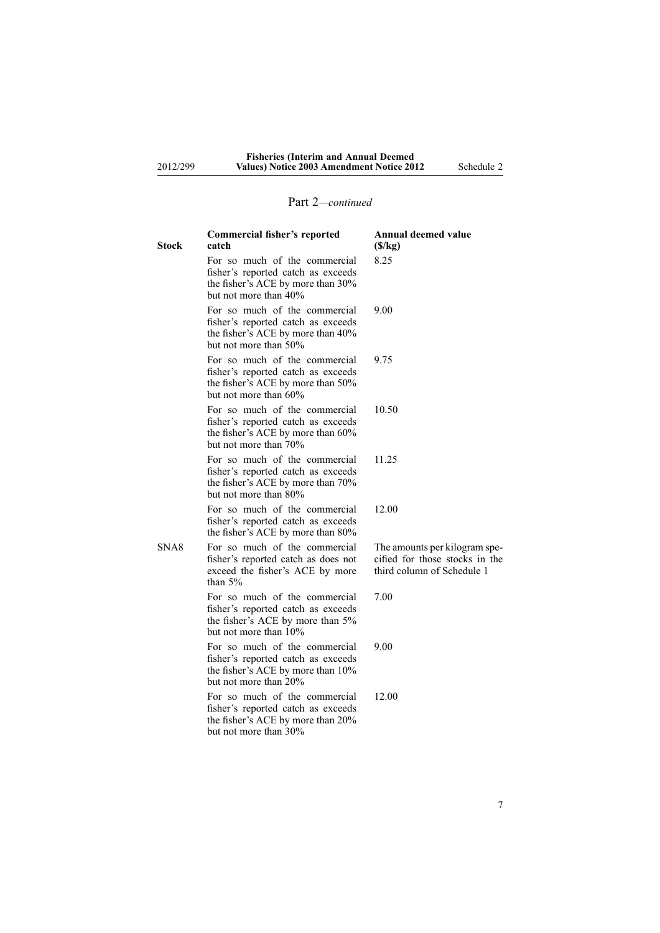## Part 2*—continued*

| <b>Stock</b> | <b>Commercial fisher's reported</b><br>catch                                                                                      | <b>Annual deemed value</b><br>(S/kg)                                                          |
|--------------|-----------------------------------------------------------------------------------------------------------------------------------|-----------------------------------------------------------------------------------------------|
|              | For so much of the commercial<br>fisher's reported catch as exceeds<br>the fisher's ACE by more than 30%<br>but not more than 40% | 8.25                                                                                          |
|              | For so much of the commercial<br>fisher's reported catch as exceeds<br>the fisher's ACE by more than 40%<br>but not more than 50% | 9.00                                                                                          |
|              | For so much of the commercial<br>fisher's reported catch as exceeds<br>the fisher's ACE by more than 50%<br>but not more than 60% | 9.75                                                                                          |
|              | For so much of the commercial<br>fisher's reported catch as exceeds<br>the fisher's ACE by more than 60%<br>but not more than 70% | 10.50                                                                                         |
|              | For so much of the commercial<br>fisher's reported catch as exceeds<br>the fisher's ACE by more than 70%<br>but not more than 80% | 11.25                                                                                         |
|              | For so much of the commercial<br>fisher's reported catch as exceeds<br>the fisher's ACE by more than 80%                          | 12.00                                                                                         |
| SNA8         | For so much of the commercial<br>fisher's reported catch as does not<br>exceed the fisher's ACE by more<br>than $5%$              | The amounts per kilogram spe-<br>cified for those stocks in the<br>third column of Schedule 1 |
|              | For so much of the commercial<br>fisher's reported catch as exceeds<br>the fisher's ACE by more than 5%<br>but not more than 10%  | 7.00                                                                                          |
|              | For so much of the commercial<br>fisher's reported catch as exceeds<br>the fisher's ACE by more than 10%<br>but not more than 20% | 9.00                                                                                          |
|              | For so much of the commercial<br>fisher's reported catch as exceeds<br>the fisher's ACE by more than 20%<br>but not more than 30% | 12.00                                                                                         |

7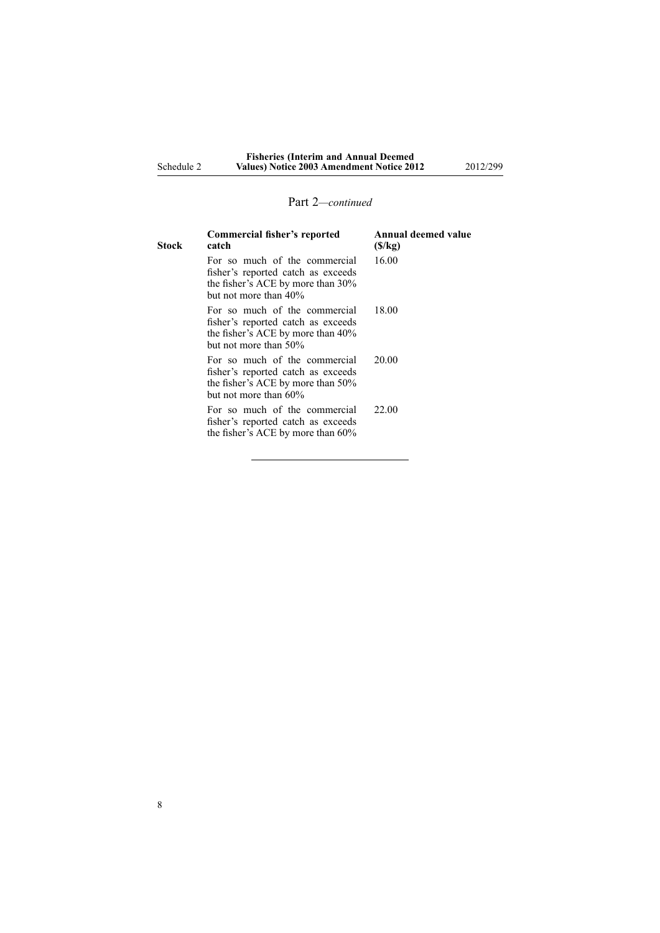## Part 2*—continued*

| Stock | Commercial fisher's reported<br>catch                                                                                                | <b>Annual deemed value</b><br>(S/kg) |
|-------|--------------------------------------------------------------------------------------------------------------------------------------|--------------------------------------|
|       | For so much of the commercial<br>fisher's reported catch as exceeds<br>the fisher's ACE by more than 30%<br>but not more than 40%    | 16.00                                |
|       | For so much of the commercial<br>fisher's reported catch as exceeds<br>the fisher's ACE by more than 40%<br>but not more than 50%    | 18.00                                |
|       | For so much of the commercial<br>fisher's reported catch as exceeds<br>the fisher's ACE by more than 50%<br>but not more than $60\%$ | 20.00                                |
|       | For so much of the commercial<br>fisher's reported catch as exceeds<br>the fisher's ACE by more than 60%                             | 22.00                                |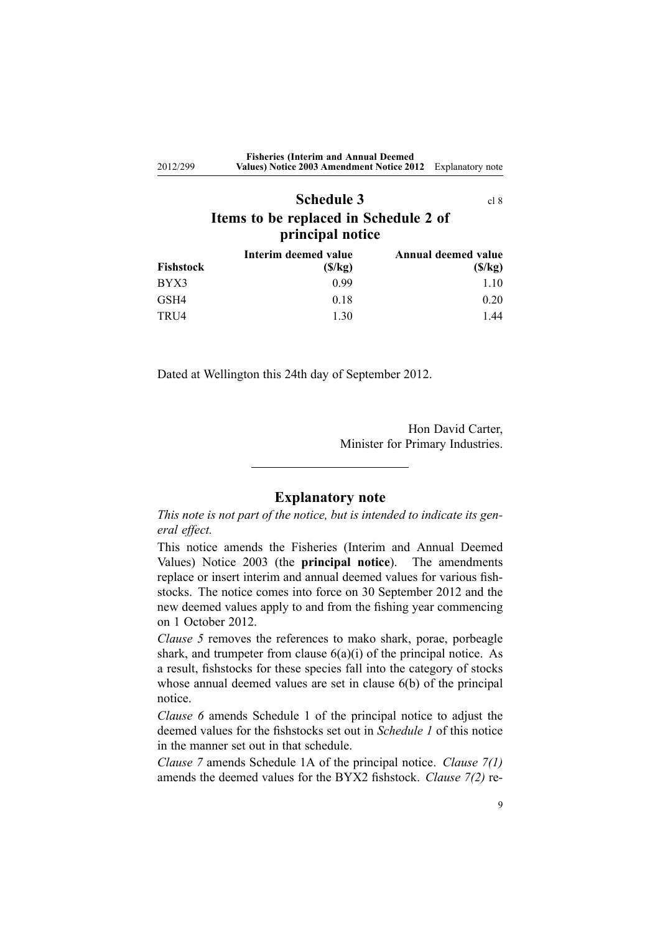<span id="page-8-0"></span>

| 2012/299 | <b>Fisheries (Interim and Annual Deemed)</b><br>Values) Notice 2003 Amendment Notice 2012 | Explanatory note |
|----------|-------------------------------------------------------------------------------------------|------------------|
|          | <b>Schedule 3</b>                                                                         | c18              |
|          | Items to be replaced in Schedule 2 of                                                     |                  |
|          | principal notice                                                                          |                  |

| Annual deemed value<br>Interim deemed value |        |        |
|---------------------------------------------|--------|--------|
| Fishstock                                   | (S/kg) | (S/kg) |
| BYX3                                        | 0.99   | 1.10   |
| GSH4                                        | 0.18   | 0.20   |
| TRU4                                        | 1.30   | .44    |

Dated at Wellington this 24th day of September 2012.

Hon David Carter, Minister for Primary Industries.

### **Explanatory note**

*This note is not par<sup>t</sup> of the notice, but is intended to indicate its general effect.*

This notice amends the Fisheries [\(Interim](http://www.legislation.govt.nz/pdflink.aspx?id=DLM214397) and Annual Deemed [Values\)](http://www.legislation.govt.nz/pdflink.aspx?id=DLM214397) Notice 2003 (the **principal notice**). The amendments replace or insert interim and annual deemed values for various fishstocks. The notice comes into force on 30 September 2012 and the new deemed values apply to and from the fishing year commencing on 1 October 2012.

*[Clause](#page-1-0) 5* removes the references to mako shark, porae, porbeagle shark, and trumpeter from clause  $6(a)(i)$  of the principal notice. As <sup>a</sup> result, fishstocks for these species fall into the category of stocks whose annual deemed values are set in [clause](http://www.legislation.govt.nz/pdflink.aspx?id=DLM215013) 6(b) of the principal notice.

*[Clause](#page-1-0) 6* amends [Schedule](http://www.legislation.govt.nz/pdflink.aspx?id=DLM215032) 1 of the principal notice to adjust the deemed values for the fishstocks set out in *[Schedule](#page-1-0) 1* of this notice in the manner set out in that schedule.

*[Clause](#page-1-0) 7* amends [Schedule](http://www.legislation.govt.nz/pdflink.aspx?id=DLM1041402) 1A of the principal notice. *Clause 7(1)* amends the deemed values for the BYX2 fishstock. *Clause 7(2)* re